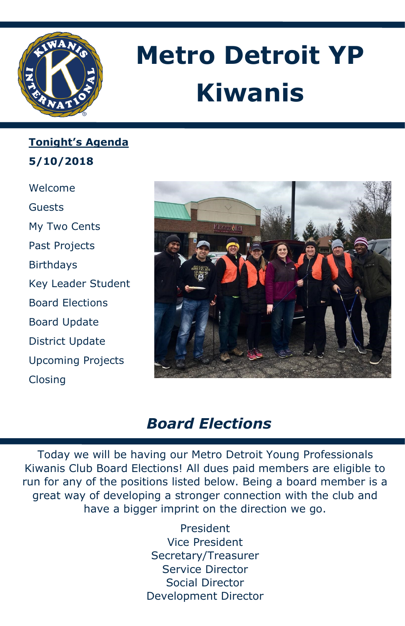

# **Metro Detroit YP Kiwanis**

**Tonight's Agenda 5/10/2018**

Welcome Guests My Two Cents Past Projects Birthdays Key Leader Student Board Elections Board Update District Update Upcoming Projects Closing



## *Board Elections*

Today we will be having our Metro Detroit Young Professionals Kiwanis Club Board Elections! All dues paid members are eligible to run for any of the positions listed below. Being a board member is a great way of developing a stronger connection with the club and have a bigger imprint on the direction we go.

> President Vice President Secretary/Treasurer Service Director Social Director Development Director